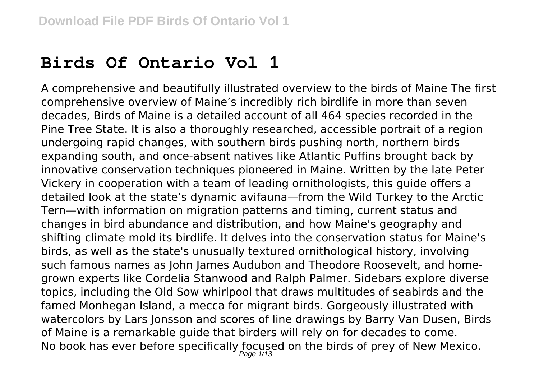## **Birds Of Ontario Vol 1**

A comprehensive and beautifully illustrated overview to the birds of Maine The first comprehensive overview of Maine's incredibly rich birdlife in more than seven decades, Birds of Maine is a detailed account of all 464 species recorded in the Pine Tree State. It is also a thoroughly researched, accessible portrait of a region undergoing rapid changes, with southern birds pushing north, northern birds expanding south, and once-absent natives like Atlantic Puffins brought back by innovative conservation techniques pioneered in Maine. Written by the late Peter Vickery in cooperation with a team of leading ornithologists, this guide offers a detailed look at the state's dynamic avifauna—from the Wild Turkey to the Arctic Tern—with information on migration patterns and timing, current status and changes in bird abundance and distribution, and how Maine's geography and shifting climate mold its birdlife. It delves into the conservation status for Maine's birds, as well as the state's unusually textured ornithological history, involving such famous names as John James Audubon and Theodore Roosevelt, and homegrown experts like Cordelia Stanwood and Ralph Palmer. Sidebars explore diverse topics, including the Old Sow whirlpool that draws multitudes of seabirds and the famed Monhegan Island, a mecca for migrant birds. Gorgeously illustrated with watercolors by Lars Jonsson and scores of line drawings by Barry Van Dusen, Birds of Maine is a remarkable guide that birders will rely on for decades to come. No book has ever before specifically focused on the birds of prey of New Mexico.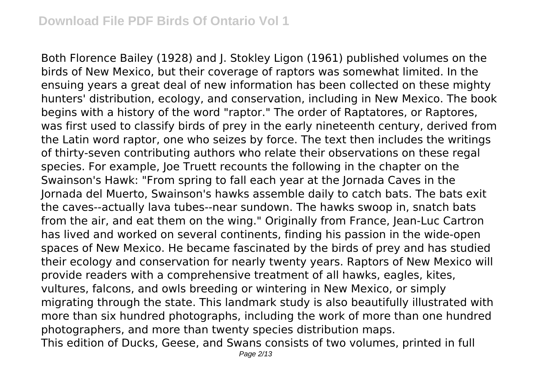Both Florence Bailey (1928) and J. Stokley Ligon (1961) published volumes on the birds of New Mexico, but their coverage of raptors was somewhat limited. In the ensuing years a great deal of new information has been collected on these mighty hunters' distribution, ecology, and conservation, including in New Mexico. The book begins with a history of the word "raptor." The order of Raptatores, or Raptores, was first used to classify birds of prey in the early nineteenth century, derived from the Latin word raptor, one who seizes by force. The text then includes the writings of thirty-seven contributing authors who relate their observations on these regal species. For example, Joe Truett recounts the following in the chapter on the Swainson's Hawk: "From spring to fall each year at the Jornada Caves in the Jornada del Muerto, Swainson's hawks assemble daily to catch bats. The bats exit the caves--actually lava tubes--near sundown. The hawks swoop in, snatch bats from the air, and eat them on the wing." Originally from France, Jean-Luc Cartron has lived and worked on several continents, finding his passion in the wide-open spaces of New Mexico. He became fascinated by the birds of prey and has studied their ecology and conservation for nearly twenty years. Raptors of New Mexico will provide readers with a comprehensive treatment of all hawks, eagles, kites, vultures, falcons, and owls breeding or wintering in New Mexico, or simply migrating through the state. This landmark study is also beautifully illustrated with more than six hundred photographs, including the work of more than one hundred photographers, and more than twenty species distribution maps.

This edition of Ducks, Geese, and Swans consists of two volumes, printed in full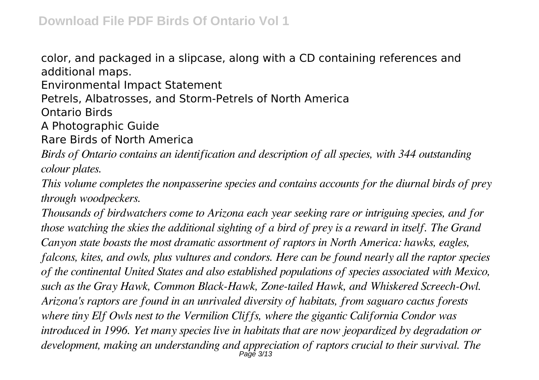color, and packaged in a slipcase, along with a CD containing references and additional maps.

Environmental Impact Statement

Petrels, Albatrosses, and Storm-Petrels of North America

Ontario Birds

A Photographic Guide

Rare Birds of North America

*Birds of Ontario contains an identification and description of all species, with 344 outstanding colour plates.*

*This volume completes the nonpasserine species and contains accounts for the diurnal birds of prey through woodpeckers.*

*Thousands of birdwatchers come to Arizona each year seeking rare or intriguing species, and for those watching the skies the additional sighting of a bird of prey is a reward in itself. The Grand Canyon state boasts the most dramatic assortment of raptors in North America: hawks, eagles, falcons, kites, and owls, plus vultures and condors. Here can be found nearly all the raptor species of the continental United States and also established populations of species associated with Mexico, such as the Gray Hawk, Common Black-Hawk, Zone-tailed Hawk, and Whiskered Screech-Owl. Arizona's raptors are found in an unrivaled diversity of habitats, from saguaro cactus forests where tiny Elf Owls nest to the Vermilion Cliffs, where the gigantic California Condor was introduced in 1996. Yet many species live in habitats that are now jeopardized by degradation or development, making an understanding and appreciation of raptors crucial to their survival. The* Page 3/13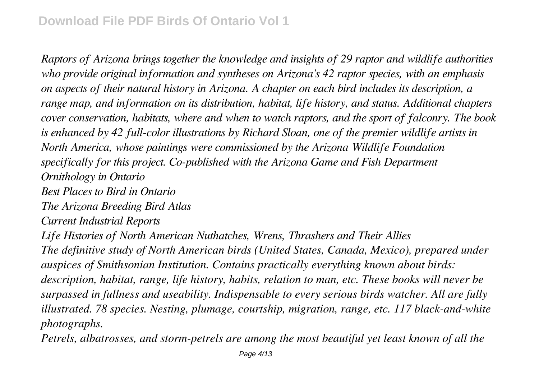*Raptors of Arizona brings together the knowledge and insights of 29 raptor and wildlife authorities who provide original information and syntheses on Arizona's 42 raptor species, with an emphasis on aspects of their natural history in Arizona. A chapter on each bird includes its description, a range map, and information on its distribution, habitat, life history, and status. Additional chapters cover conservation, habitats, where and when to watch raptors, and the sport of falconry. The book is enhanced by 42 full-color illustrations by Richard Sloan, one of the premier wildlife artists in North America, whose paintings were commissioned by the Arizona Wildlife Foundation specifically for this project. Co-published with the Arizona Game and Fish Department Ornithology in Ontario Best Places to Bird in Ontario*

*The Arizona Breeding Bird Atlas*

*Current Industrial Reports*

*Life Histories of North American Nuthatches, Wrens, Thrashers and Their Allies The definitive study of North American birds (United States, Canada, Mexico), prepared under auspices of Smithsonian Institution. Contains practically everything known about birds: description, habitat, range, life history, habits, relation to man, etc. These books will never be surpassed in fullness and useability. Indispensable to every serious birds watcher. All are fully illustrated. 78 species. Nesting, plumage, courtship, migration, range, etc. 117 black-and-white photographs.*

*Petrels, albatrosses, and storm-petrels are among the most beautiful yet least known of all the*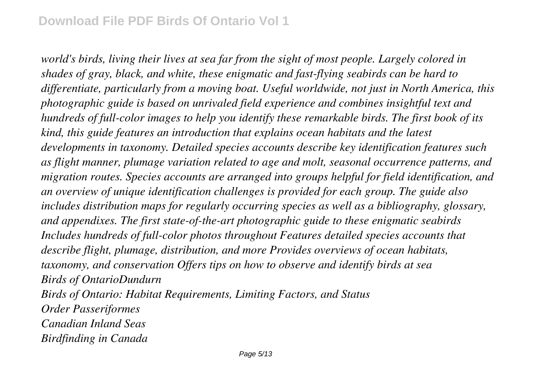*world's birds, living their lives at sea far from the sight of most people. Largely colored in shades of gray, black, and white, these enigmatic and fast-flying seabirds can be hard to differentiate, particularly from a moving boat. Useful worldwide, not just in North America, this photographic guide is based on unrivaled field experience and combines insightful text and hundreds of full-color images to help you identify these remarkable birds. The first book of its kind, this guide features an introduction that explains ocean habitats and the latest developments in taxonomy. Detailed species accounts describe key identification features such as flight manner, plumage variation related to age and molt, seasonal occurrence patterns, and migration routes. Species accounts are arranged into groups helpful for field identification, and an overview of unique identification challenges is provided for each group. The guide also includes distribution maps for regularly occurring species as well as a bibliography, glossary, and appendixes. The first state-of-the-art photographic guide to these enigmatic seabirds Includes hundreds of full-color photos throughout Features detailed species accounts that describe flight, plumage, distribution, and more Provides overviews of ocean habitats, taxonomy, and conservation Offers tips on how to observe and identify birds at sea Birds of OntarioDundurn Birds of Ontario: Habitat Requirements, Limiting Factors, and Status Order Passeriformes Canadian Inland Seas Birdfinding in Canada*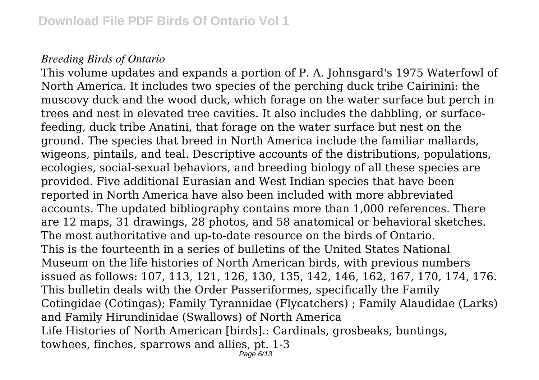## *Breeding Birds of Ontario*

This volume updates and expands a portion of P. A. Johnsgard's 1975 Waterfowl of North America. It includes two species of the perching duck tribe Cairinini: the muscovy duck and the wood duck, which forage on the water surface but perch in trees and nest in elevated tree cavities. It also includes the dabbling, or surfacefeeding, duck tribe Anatini, that forage on the water surface but nest on the ground. The species that breed in North America include the familiar mallards, wigeons, pintails, and teal. Descriptive accounts of the distributions, populations, ecologies, social-sexual behaviors, and breeding biology of all these species are provided. Five additional Eurasian and West Indian species that have been reported in North America have also been included with more abbreviated accounts. The updated bibliography contains more than 1,000 references. There are 12 maps, 31 drawings, 28 photos, and 58 anatomical or behavioral sketches. The most authoritative and up-to-date resource on the birds of Ontario. This is the fourteenth in a series of bulletins of the United States National Museum on the life histories of North American birds, with previous numbers issued as follows: 107, 113, 121, 126, 130, 135, 142, 146, 162, 167, 170, 174, 176. This bulletin deals with the Order Passeriformes, specifically the Family Cotingidae (Cotingas); Family Tyrannidae (Flycatchers) ; Family Alaudidae (Larks) and Family Hirundinidae (Swallows) of North America Life Histories of North American [birds].: Cardinals, grosbeaks, buntings, towhees, finches, sparrows and allies, pt. 1-3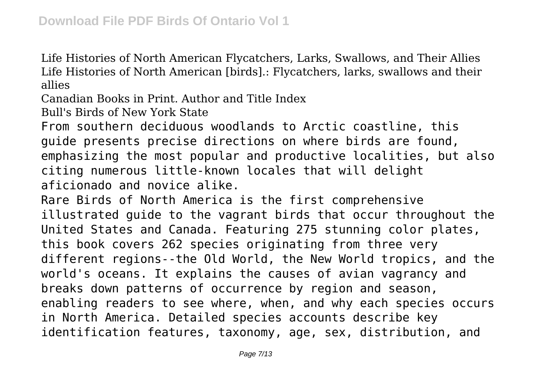Life Histories of North American Flycatchers, Larks, Swallows, and Their Allies Life Histories of North American [birds].: Flycatchers, larks, swallows and their allies

Canadian Books in Print. Author and Title Index

Bull's Birds of New York State

From southern deciduous woodlands to Arctic coastline, this guide presents precise directions on where birds are found, emphasizing the most popular and productive localities, but also citing numerous little-known locales that will delight aficionado and novice alike.

Rare Birds of North America is the first comprehensive illustrated guide to the vagrant birds that occur throughout the United States and Canada. Featuring 275 stunning color plates, this book covers 262 species originating from three very different regions--the Old World, the New World tropics, and the world's oceans. It explains the causes of avian vagrancy and breaks down patterns of occurrence by region and season, enabling readers to see where, when, and why each species occurs in North America. Detailed species accounts describe key identification features, taxonomy, age, sex, distribution, and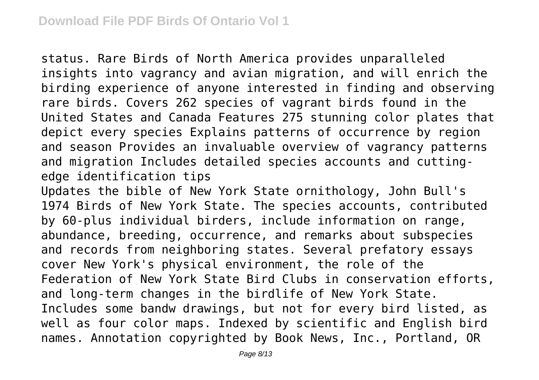status. Rare Birds of North America provides unparalleled insights into vagrancy and avian migration, and will enrich the birding experience of anyone interested in finding and observing rare birds. Covers 262 species of vagrant birds found in the United States and Canada Features 275 stunning color plates that depict every species Explains patterns of occurrence by region and season Provides an invaluable overview of vagrancy patterns and migration Includes detailed species accounts and cuttingedge identification tips

Updates the bible of New York State ornithology, John Bull's 1974 Birds of New York State. The species accounts, contributed by 60-plus individual birders, include information on range, abundance, breeding, occurrence, and remarks about subspecies and records from neighboring states. Several prefatory essays cover New York's physical environment, the role of the Federation of New York State Bird Clubs in conservation efforts, and long-term changes in the birdlife of New York State. Includes some bandw drawings, but not for every bird listed, as well as four color maps. Indexed by scientific and English bird names. Annotation copyrighted by Book News, Inc., Portland, OR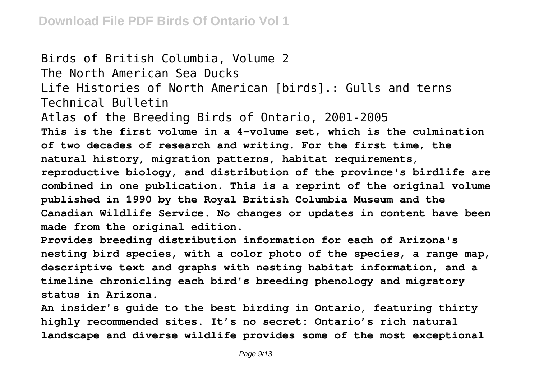Birds of British Columbia, Volume 2 The North American Sea Ducks Life Histories of North American [birds].: Gulls and terns Technical Bulletin Atlas of the Breeding Birds of Ontario, 2001-2005 **This is the first volume in a 4-volume set, which is the culmination of two decades of research and writing. For the first time, the natural history, migration patterns, habitat requirements, reproductive biology, and distribution of the province's birdlife are combined in one publication. This is a reprint of the original volume published in 1990 by the Royal British Columbia Museum and the Canadian Wildlife Service. No changes or updates in content have been made from the original edition.**

**Provides breeding distribution information for each of Arizona's nesting bird species, with a color photo of the species, a range map, descriptive text and graphs with nesting habitat information, and a timeline chronicling each bird's breeding phenology and migratory status in Arizona.**

**An insider's guide to the best birding in Ontario, featuring thirty highly recommended sites. It's no secret: Ontario's rich natural landscape and diverse wildlife provides some of the most exceptional**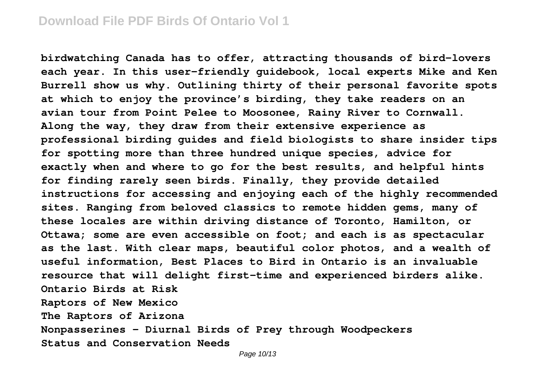**birdwatching Canada has to offer, attracting thousands of bird-lovers each year. In this user-friendly guidebook, local experts Mike and Ken Burrell show us why. Outlining thirty of their personal favorite spots at which to enjoy the province's birding, they take readers on an avian tour from Point Pelee to Moosonee, Rainy River to Cornwall. Along the way, they draw from their extensive experience as professional birding guides and field biologists to share insider tips for spotting more than three hundred unique species, advice for exactly when and where to go for the best results, and helpful hints for finding rarely seen birds. Finally, they provide detailed instructions for accessing and enjoying each of the highly recommended sites. Ranging from beloved classics to remote hidden gems, many of these locales are within driving distance of Toronto, Hamilton, or Ottawa; some are even accessible on foot; and each is as spectacular as the last. With clear maps, beautiful color photos, and a wealth of useful information, Best Places to Bird in Ontario is an invaluable resource that will delight first-time and experienced birders alike. Ontario Birds at Risk Raptors of New Mexico The Raptors of Arizona Nonpasserines - Diurnal Birds of Prey through Woodpeckers Status and Conservation Needs**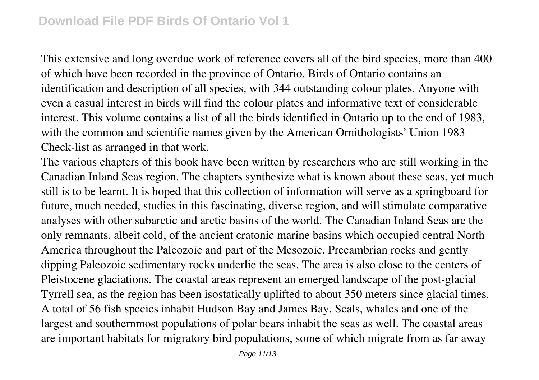This extensive and long overdue work of reference covers all of the bird species, more than 400 of which have been recorded in the province of Ontario. Birds of Ontario contains an identification and description of all species, with 344 outstanding colour plates. Anyone with even a casual interest in birds will find the colour plates and informative text of considerable interest. This volume contains a list of all the birds identified in Ontario up to the end of 1983, with the common and scientific names given by the American Ornithologists' Union 1983 Check-list as arranged in that work.

The various chapters of this book have been written by researchers who are still working in the Canadian Inland Seas region. The chapters synthesize what is known about these seas, yet much still is to be learnt. It is hoped that this collection of information will serve as a springboard for future, much needed, studies in this fascinating, diverse region, and will stimulate comparative analyses with other subarctic and arctic basins of the world. The Canadian Inland Seas are the only remnants, albeit cold, of the ancient cratonic marine basins which occupied central North America throughout the Paleozoic and part of the Mesozoic. Precambrian rocks and gently dipping Paleozoic sedimentary rocks underlie the seas. The area is also close to the centers of Pleistocene glaciations. The coastal areas represent an emerged landscape of the post-glacial Tyrrell sea, as the region has been isostatically uplifted to about 350 meters since glacial times. A total of 56 fish species inhabit Hudson Bay and James Bay. Seals, whales and one of the largest and southernmost populations of polar bears inhabit the seas as well. The coastal areas are important habitats for migratory bird populations, some of which migrate from as far away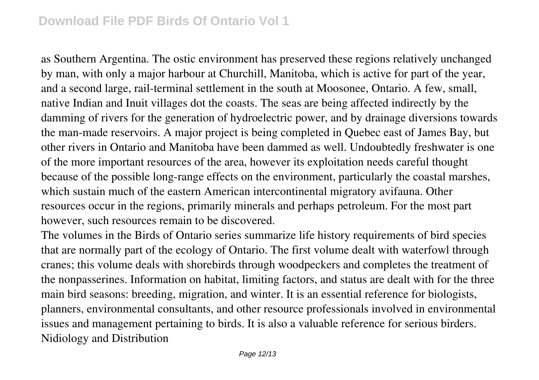## **Download File PDF Birds Of Ontario Vol 1**

as Southern Argentina. The ostic environment has preserved these regions relatively unchanged by man, with only a major harbour at Churchill, Manitoba, which is active for part of the year, and a second large, rail-terminal settlement in the south at Moosonee, Ontario. A few, small, native Indian and Inuit villages dot the coasts. The seas are being affected indirectly by the damming of rivers for the generation of hydroelectric power, and by drainage diversions towards the man-made reservoirs. A major project is being completed in Quebec east of James Bay, but other rivers in Ontario and Manitoba have been dammed as well. Undoubtedly freshwater is one of the more important resources of the area, however its exploitation needs careful thought because of the possible long-range effects on the environment, particularly the coastal marshes, which sustain much of the eastern American intercontinental migratory avifauna. Other resources occur in the regions, primarily minerals and perhaps petroleum. For the most part however, such resources remain to be discovered.

The volumes in the Birds of Ontario series summarize life history requirements of bird species that are normally part of the ecology of Ontario. The first volume dealt with waterfowl through cranes; this volume deals with shorebirds through woodpeckers and completes the treatment of the nonpasserines. Information on habitat, limiting factors, and status are dealt with for the three main bird seasons: breeding, migration, and winter. It is an essential reference for biologists, planners, environmental consultants, and other resource professionals involved in environmental issues and management pertaining to birds. It is also a valuable reference for serious birders. Nidiology and Distribution